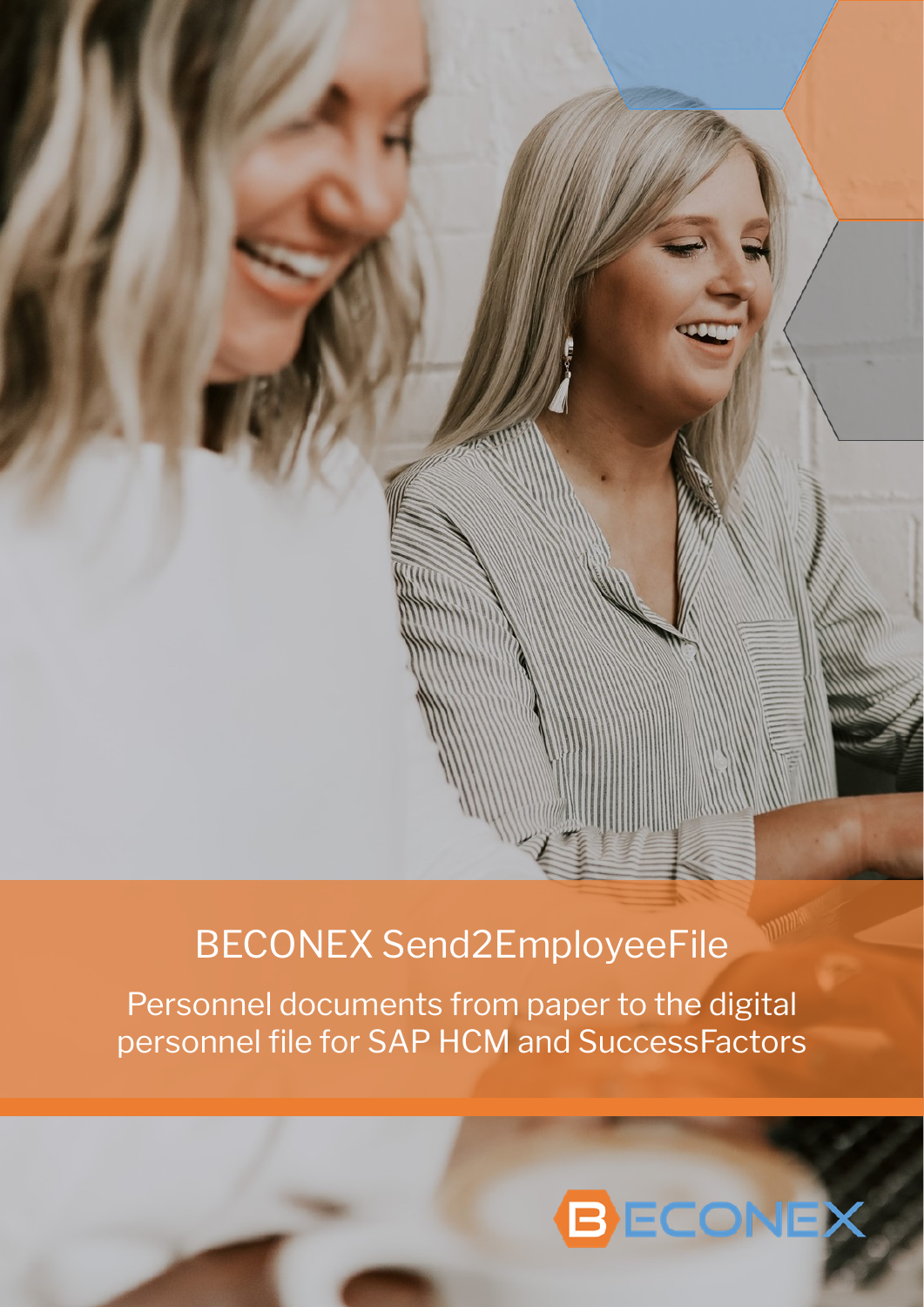# BECONEX Send2EmployeeFile

Personnel documents from paper to the digital personnel file for SAP HCM and SuccessFactors

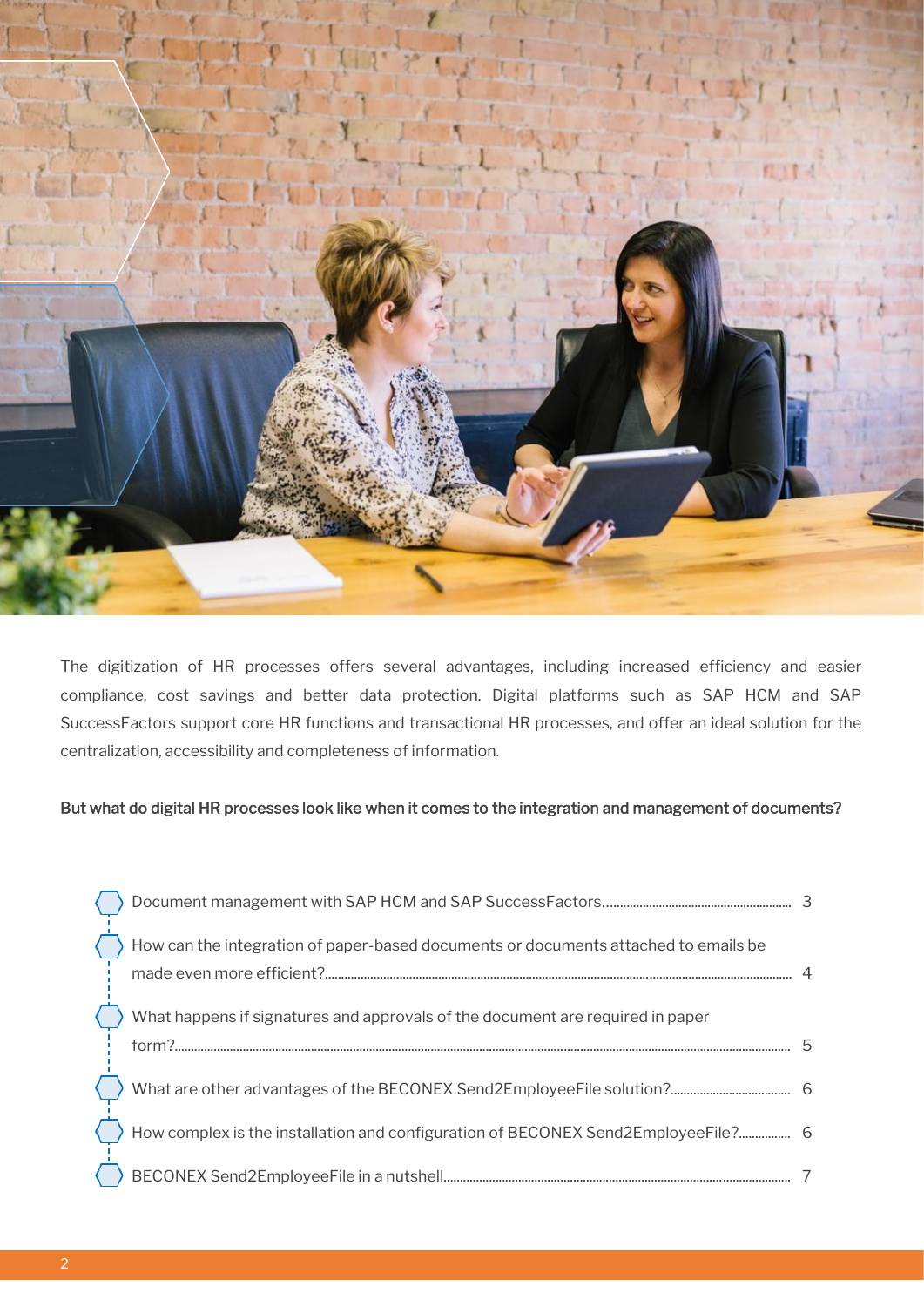

The digitization of HR processes offers several advantages, including increased efficiency and easier compliance, cost savings and better data protection. Digital platforms such as SAP HCM and SAP SuccessFactors support core HR functions and transactional HR processes, and offer an ideal solution for the centralization, accessibility and completeness of information.

### But what do digital HR processes look like when it comes to the integration and management of documents?

| How can the integration of paper-based documents or documents attached to emails be     |  |
|-----------------------------------------------------------------------------------------|--|
| What happens if signatures and approvals of the document are required in paper<br>form? |  |
|                                                                                         |  |
| How complex is the installation and configuration of BECONEX Send2EmployeeFile? 6       |  |
|                                                                                         |  |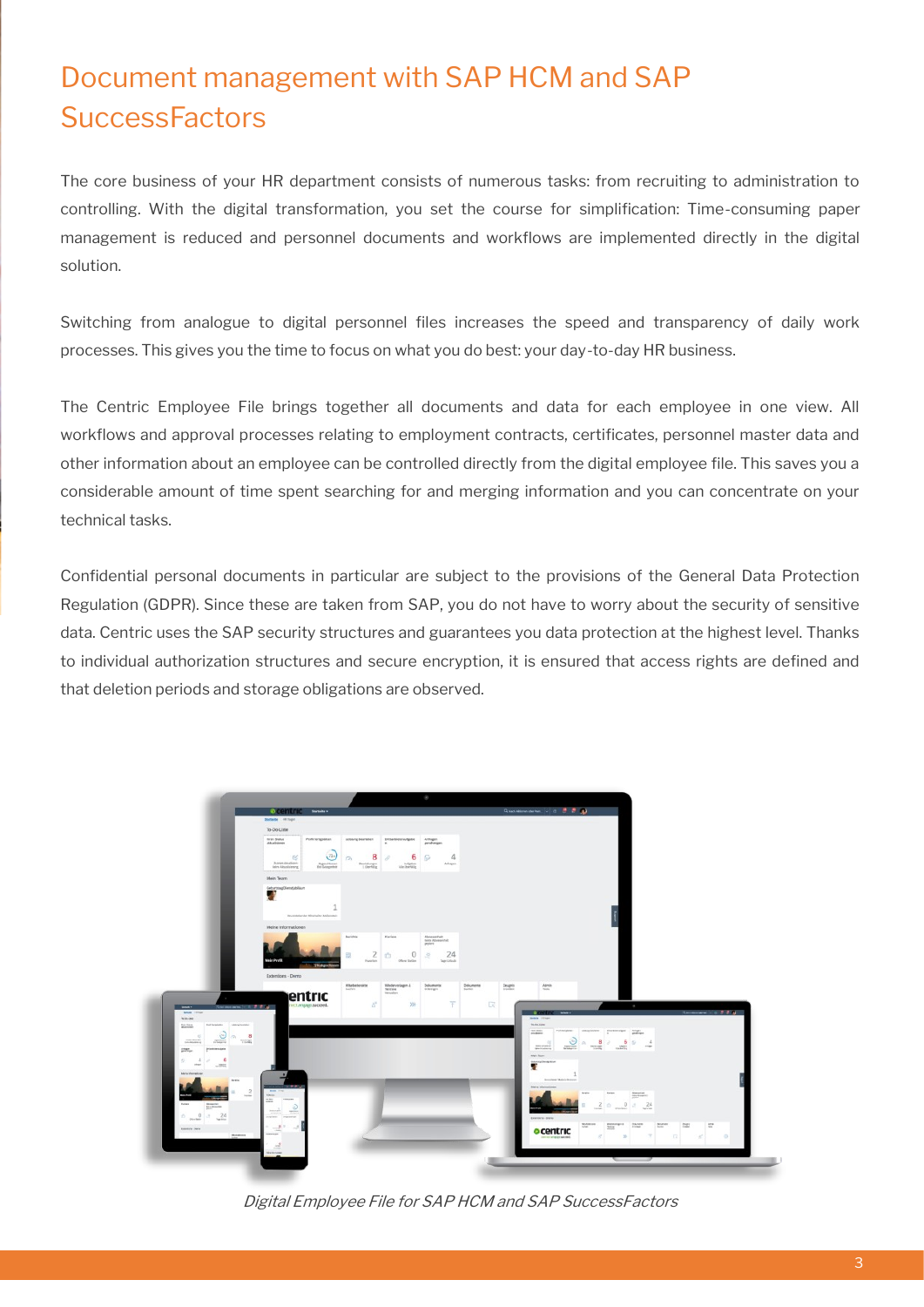### Document management with SAP HCM and SAP **SuccessFactors**

The core business of your HR department consists of numerous tasks: from recruiting to administration to controlling. With the digital transformation, you set the course for simplification: Time-consuming paper management is reduced and personnel documents and workflows are implemented directly in the digital solution.

Switching from analogue to digital personnel files increases the speed and transparency of daily work processes. This gives you the time to focus on what you do best: your day-to-day HR business.

The Centric Employee File brings together all documents and data for each employee in one view. All workflows and approval processes relating to employment contracts, certificates, personnel master data and other information about an employee can be controlled directly from the digital employee file. This saves you a considerable amount of time spent searching for and merging information and you can concentrate on your technical tasks.

Confidential personal documents in particular are subject to the provisions of the General Data Protection Regulation (GDPR). Since these are taken from SAP, you do not have to worry about the security of sensitive data. Centric uses the SAP security structures and guarantees you data protection at the highest level. Thanks to individual authorization structures and secure encryption, it is ensured that access rights are defined and that deletion periods and storage obligations are observed.



Digital Employee File for SAP HCM and SAP SuccessFactors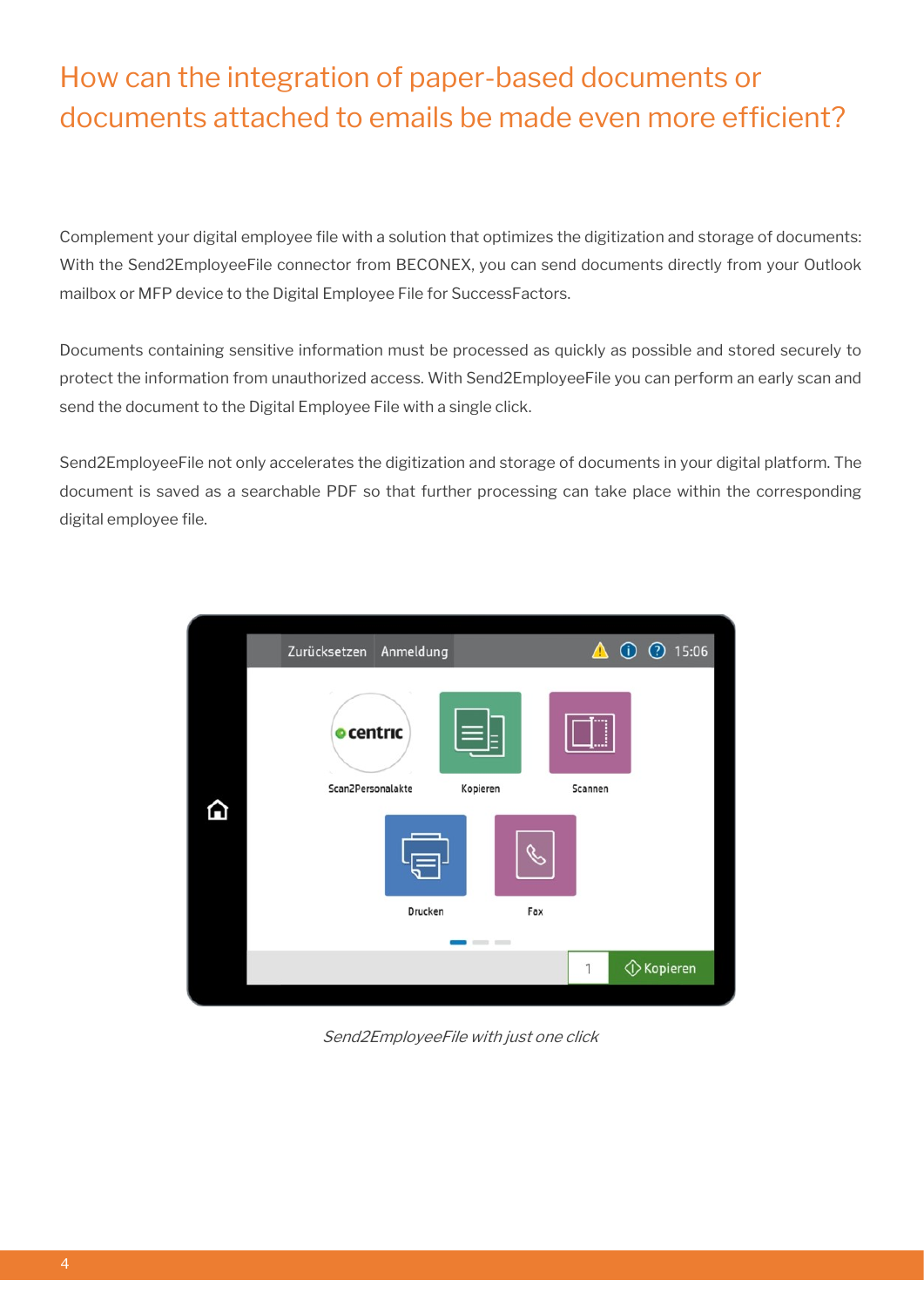# How can the integration of paper-based documents or documents attached to emails be made even more efficient?

Complement your digital employee file with a solution that optimizes the digitization and storage of documents: With the Send2EmployeeFile connector from BECONEX, you can send documents directly from your Outlook mailbox or MFP device to the Digital Employee File for SuccessFactors.

Documents containing sensitive information must be processed as quickly as possible and stored securely to protect the information from unauthorized access. With Send2EmployeeFile you can perform an early scan and send the document to the Digital Employee File with a single click.

Send2EmployeeFile not only accelerates the digitization and storage of documents in your digital platform. The document is saved as a searchable PDF so that further processing can take place within the corresponding digital employee file.



Send2EmployeeFile with just one click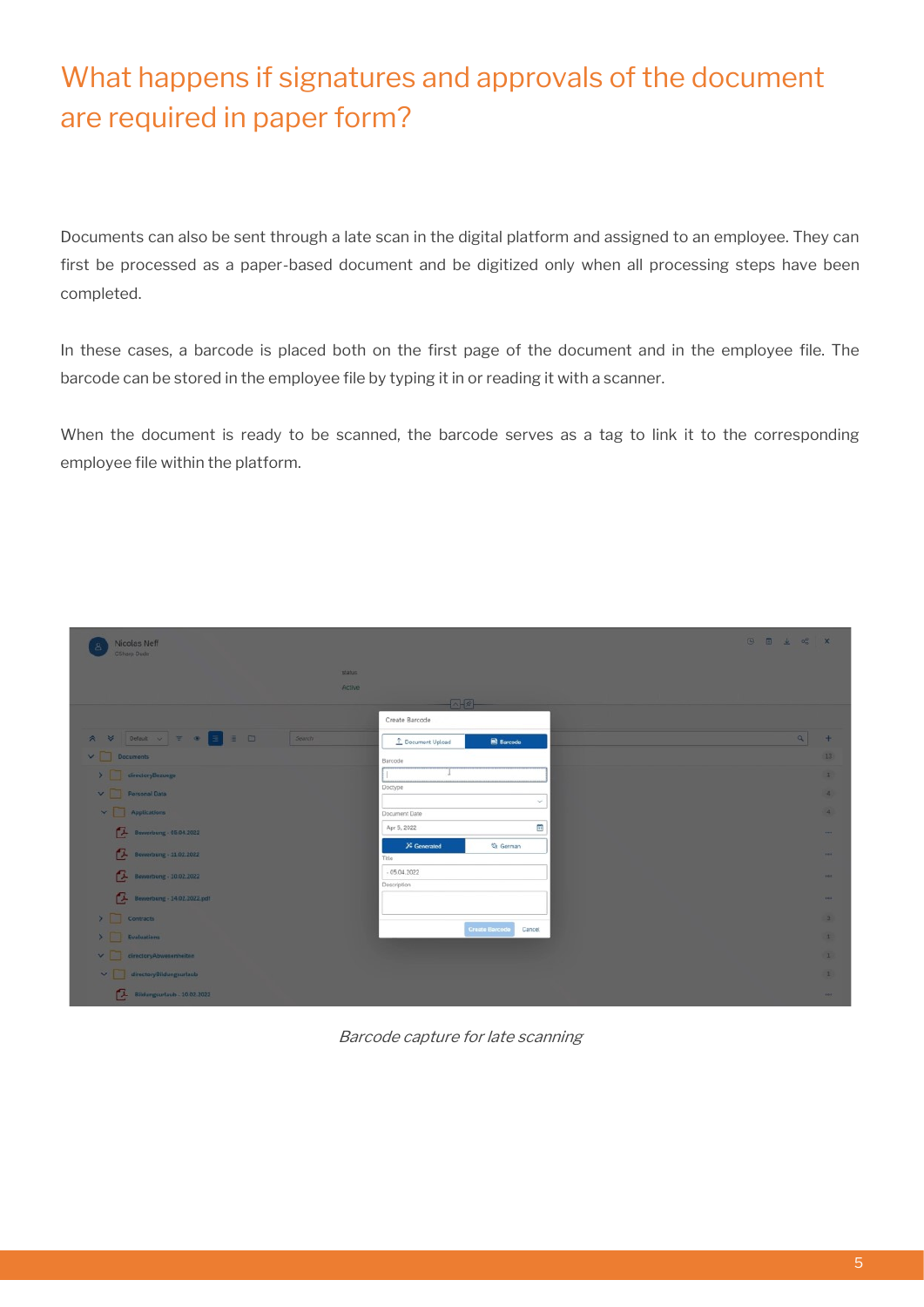# What happens if signatures and approvals of the document are required in paper form?

Documents can also be sent through a late scan in the digital platform and assigned to an employee. They can first be processed as a paper-based document and be digitized only when all processing steps have been completed.

In these cases, a barcode is placed both on the first page of the document and in the employee file. The barcode can be stored in the employee file by typing it in or reading it with a scanner.

When the document is ready to be scanned, the barcode serves as a tag to link it to the corresponding employee file within the platform.

| Nicolas Neff<br>CSharp Dude      | 0 0 ± d x                                                    |                 |
|----------------------------------|--------------------------------------------------------------|-----------------|
| status                           |                                                              |                 |
| Active                           |                                                              |                 |
|                                  | $-242-$                                                      |                 |
|                                  | Create Barcode                                               |                 |
| Search                           | $\alpha$<br><b>图 Barcode</b><br><sup>1</sup> Document Upload | $+$             |
| $\vee$ $\Box$ Documents          | Barcode                                                      | 13 <sub>1</sub> |
| > directoryBezuege               |                                                              | $\vert$         |
| $\vee$ Personal Data             | Doctype<br>$\sim$                                            | $\vert x \vert$ |
| $\vee$ $\Box$ Applications       | Document Date                                                | $\mathbf{a}$    |
| Bewerbung - 05.04.2022           | Ŧ<br>Apr 5, 2022                                             | -               |
|                                  | $\chi$ Generated<br><b>位 German</b>                          |                 |
| <b>Ex Bewerbung - 11.02.2022</b> | Title                                                        | <b>ABA</b>      |
| Bewerbung - 10.02.2022           | $-05.04.2022$<br>Description                                 | 100             |
| Bewerbung - 14.02.2022.pdf       |                                                              | <b>SEA</b>      |
| $\sum$ Contracts                 |                                                              | $\overline{1}$  |
| $\sum$ Evaluations               | Create Barcode<br>Cancel                                     | $\vert$         |
|                                  |                                                              |                 |
| $\vee$ directoryAbwesenheiten    |                                                              | $\mathbf{1}$    |
| directoryBildungsurlaub          |                                                              | $\mathbf{1}$    |
| Bildungsurtaub - 10.02.2022      |                                                              | 1000            |

Barcode capture for late scanning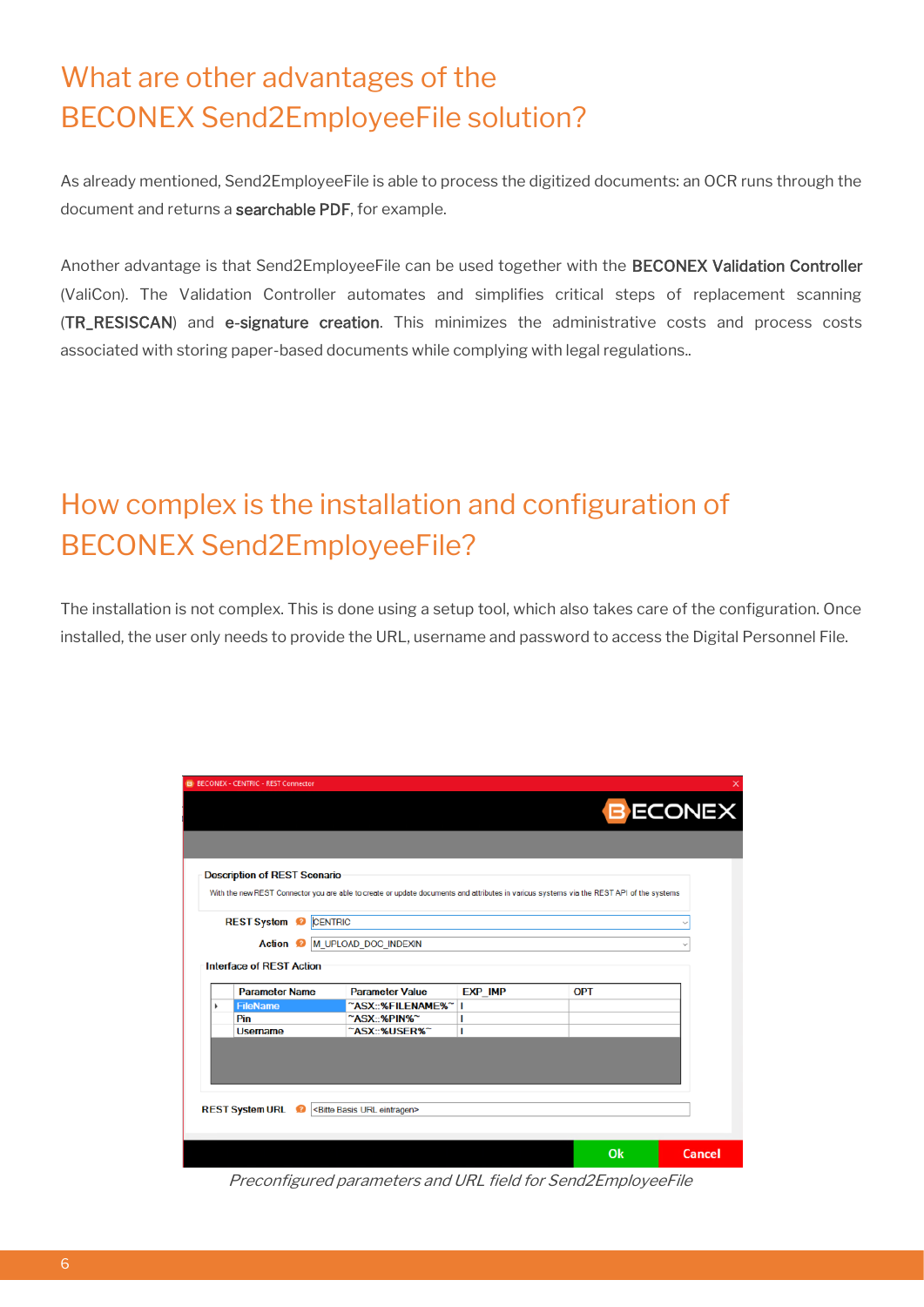## What are other advantages of the BECONEX Send2EmployeeFile solution?

As already mentioned, Send2EmployeeFile is able to process the digitized documents: an OCR runs through the document and returns a searchable PDF, for example.

Another advantage is that Send2EmployeeFile can be used together with the BECONEX Validation Controller (ValiCon). The Validation Controller automates and simplifies critical steps of replacement scanning (TR\_RESISCAN) and e-signature creation. This minimizes the administrative costs and process costs associated with storing paper-based documents while complying with legal regulations..

# How complex is the installation and configuration of BECONEX Send2EmployeeFile?

The installation is not complex. This is done using a setup tool, which also takes care of the configuration. Once installed, the user only needs to provide the URL, username and password to access the Digital Personnel File.

|                 | <b>B</b> BECONEX - CENTRIC - REST Connector |                                                                                                                                          |         |            |               |
|-----------------|---------------------------------------------|------------------------------------------------------------------------------------------------------------------------------------------|---------|------------|---------------|
| <b>B ECONEX</b> |                                             |                                                                                                                                          |         |            |               |
|                 |                                             |                                                                                                                                          |         |            |               |
|                 |                                             |                                                                                                                                          |         |            |               |
|                 | <b>Description of REST Scenario</b>         |                                                                                                                                          |         |            |               |
|                 |                                             | With the new REST Connector you are able to create or update documents and attributes in various systems via the REST API of the systems |         |            |               |
|                 |                                             |                                                                                                                                          |         |            |               |
|                 | <b>REST System</b><br>๑                     | CENTRIC                                                                                                                                  |         |            |               |
|                 | Action <sup>2</sup>                         | M_UPLOAD_DOC_INDEXIN                                                                                                                     |         |            |               |
|                 |                                             |                                                                                                                                          |         |            |               |
|                 | <b>Interface of REST Action</b>             |                                                                                                                                          |         |            |               |
|                 |                                             |                                                                                                                                          |         |            |               |
| ь               | <b>Parameter Name</b><br><b>FileName</b>    | <b>Parameter Value</b>                                                                                                                   | EXP_IMP | <b>OPT</b> |               |
|                 | Pin                                         | ~ASX::%FILENAME%~<br>~ASX::%PIN%~                                                                                                        | п       |            |               |
|                 | <b>Username</b>                             | ~ASX::%USER%~                                                                                                                            |         |            |               |
|                 |                                             |                                                                                                                                          |         |            |               |
|                 |                                             |                                                                                                                                          |         |            |               |
|                 |                                             |                                                                                                                                          |         |            |               |
|                 |                                             |                                                                                                                                          |         |            |               |
|                 |                                             |                                                                                                                                          |         |            |               |
|                 |                                             |                                                                                                                                          |         |            |               |
|                 | <b>REST System URL</b>                      | <bitte basis="" eintragen="" url=""></bitte>                                                                                             |         |            |               |
|                 |                                             |                                                                                                                                          |         |            |               |
|                 |                                             |                                                                                                                                          |         | Ok         | <b>Cancel</b> |

Preconfigured parameters and URL field for Send2EmployeeFile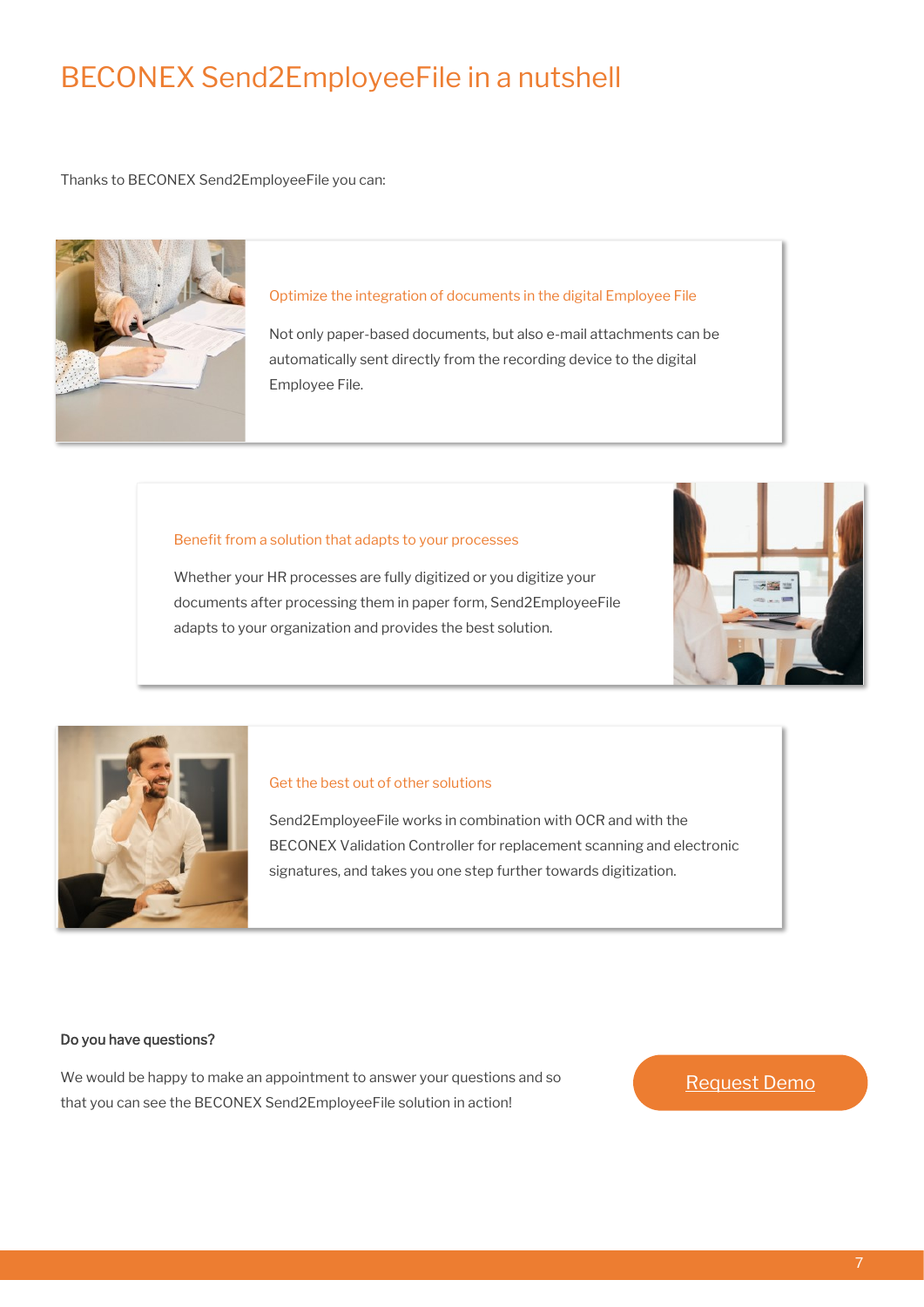### BECONEX Send2EmployeeFile in a nutshell

Thanks to BECONEX Send2EmployeeFile you can:



#### Optimize the integration of documents in the digital Employee File

Not only paper-based documents, but also e-mail attachments can be automatically sent directly from the recording device to the digital Employee File.

#### Benefit from a solution that adapts to your processes

Whether your HR processes are fully digitized or you digitize your documents after processing them in paper form, Send2EmployeeFile adapts to your organization and provides the best solution.





### Get the best out of other solutions

Send2EmployeeFile works in combination with OCR and with the BECONEX Validation Controller for replacement scanning and electronic signatures, and takes you one step further towards digitization.

### Do you have questions?

We would be happy to make an appointment to answer your questions and so that you can see the BECONEX Send2EmployeeFile solution in action!

### [Request Demo](https://beconex.com/en/about/#contact)